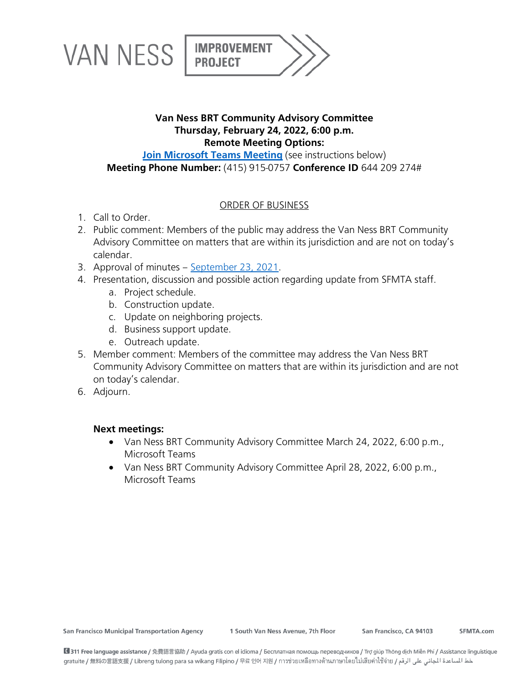



## **Van Ness BRT Community Advisory Committee Thursday, February 24, 2022, 6:00 p.m. Remote Meeting Options: [Join Microsoft Teams](https://teams.microsoft.com/l/meetup-join/19%3ameeting_OTQ4NzYzZjktOTExZi00NGNlLTgyNzAtMDZhYzA3ODA3OWIz%40thread.v2/0?context=%7b%22Tid%22%3a%22f079c315-facc-4d90-8a1a-00ea23258a68%22%2c%22Oid%22%3a%223d302ec2-ec6f-407e-a89d-3d6a3cb52494%22%7d) Meeting** (see instructions below)

**Meeting Phone Number:** (415) 915-0757 **Conference ID** 644 209 274#

# ORDER OF BUSINESS

- 1. Call to Order.
- 2. Public comment: Members of the public may address the Van Ness BRT Community Advisory Committee on matters that are within its jurisdiction and are not on today's calendar.
- 3. Approval of minutes [September 23, 2021.](https://www.sfmta.com/sites/default/files/reports-and-documents/2021/09/cac_meeting_minutes_09.23.21.pdf)
- 4. Presentation, discussion and possible action regarding update from SFMTA staff.
	- a. Project schedule.
	- b. Construction update.
	- c. Update on neighboring projects.
	- d. Business support update.
	- e. Outreach update.
- 5. Member comment: Members of the committee may address the Van Ness BRT Community Advisory Committee on matters that are within its jurisdiction and are not on today's calendar.
- 6. Adjourn.

## **Next meetings:**

- Van Ness BRT Community Advisory Committee March 24, 2022, 6:00 p.m., Microsoft Teams
- Van Ness BRT Community Advisory Committee April 28, 2022, 6:00 p.m., Microsoft Teams

1 South Van Ness Avenue, 7th Floor

San Francisco, CA 94103